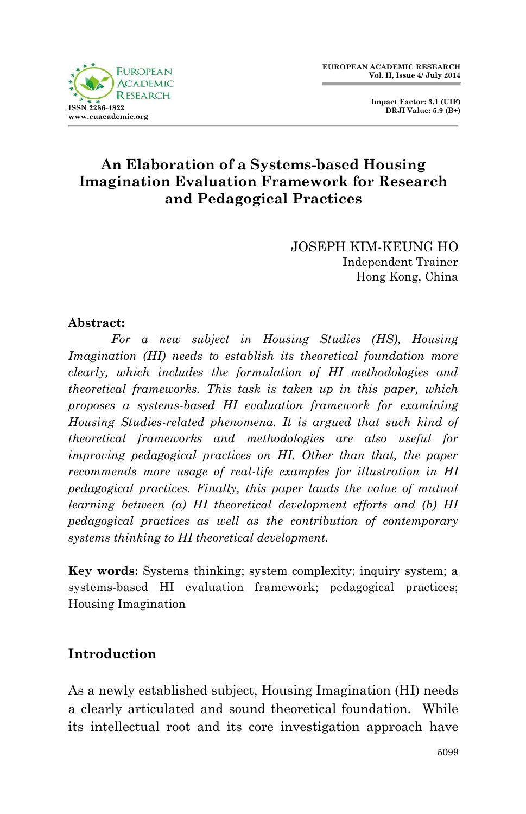

 **Impact Factor: 3.1 (UIF) DRJI Value: 5.9 (B+)**

## **An Elaboration of a Systems-based Housing Imagination Evaluation Framework for Research and Pedagogical Practices**

JOSEPH KIM-KEUNG HO Independent Trainer Hong Kong, China

### **Abstract:**

*For a new subject in Housing Studies (HS), Housing Imagination (HI) needs to establish its theoretical foundation more clearly, which includes the formulation of HI methodologies and theoretical frameworks. This task is taken up in this paper, which proposes a systems-based HI evaluation framework for examining Housing Studies-related phenomena. It is argued that such kind of theoretical frameworks and methodologies are also useful for improving pedagogical practices on HI. Other than that, the paper recommends more usage of real-life examples for illustration in HI pedagogical practices. Finally, this paper lauds the value of mutual learning between (a) HI theoretical development efforts and (b) HI pedagogical practices as well as the contribution of contemporary systems thinking to HI theoretical development.*

**Key words:** Systems thinking; system complexity; inquiry system; a systems-based HI evaluation framework; pedagogical practices; Housing Imagination

### **Introduction**

As a newly established subject, Housing Imagination (HI) needs a clearly articulated and sound theoretical foundation. While its intellectual root and its core investigation approach have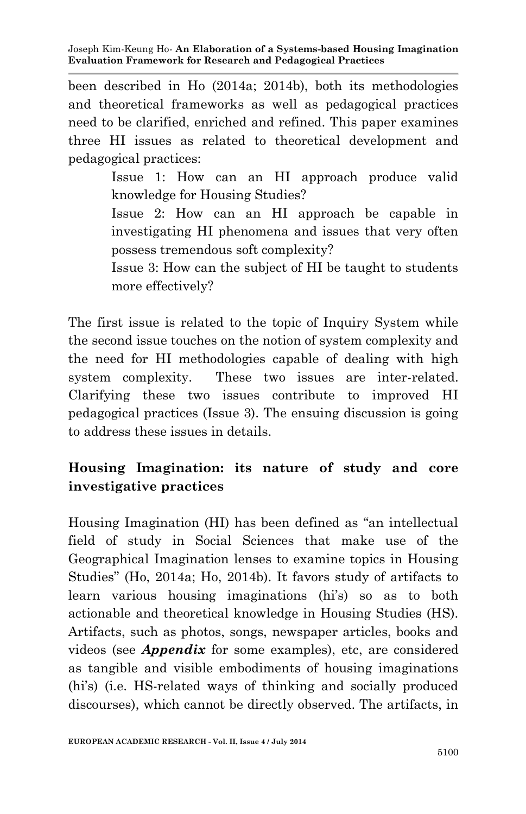been described in Ho (2014a; 2014b), both its methodologies and theoretical frameworks as well as pedagogical practices need to be clarified, enriched and refined. This paper examines three HI issues as related to theoretical development and pedagogical practices:

> Issue 1: How can an HI approach produce valid knowledge for Housing Studies? Issue 2: How can an HI approach be capable in

> investigating HI phenomena and issues that very often possess tremendous soft complexity?

> Issue 3: How can the subject of HI be taught to students more effectively?

The first issue is related to the topic of Inquiry System while the second issue touches on the notion of system complexity and the need for HI methodologies capable of dealing with high system complexity. These two issues are inter-related. Clarifying these two issues contribute to improved HI pedagogical practices (Issue 3). The ensuing discussion is going to address these issues in details.

# **Housing Imagination: its nature of study and core investigative practices**

Housing Imagination (HI) has been defined as "an intellectual field of study in Social Sciences that make use of the Geographical Imagination lenses to examine topics in Housing Studies" (Ho, 2014a; Ho, 2014b). It favors study of artifacts to learn various housing imaginations (hi's) so as to both actionable and theoretical knowledge in Housing Studies (HS). Artifacts, such as photos, songs, newspaper articles, books and videos (see *Appendix* for some examples), etc, are considered as tangible and visible embodiments of housing imaginations (hi's) (i.e. HS-related ways of thinking and socially produced discourses), which cannot be directly observed. The artifacts, in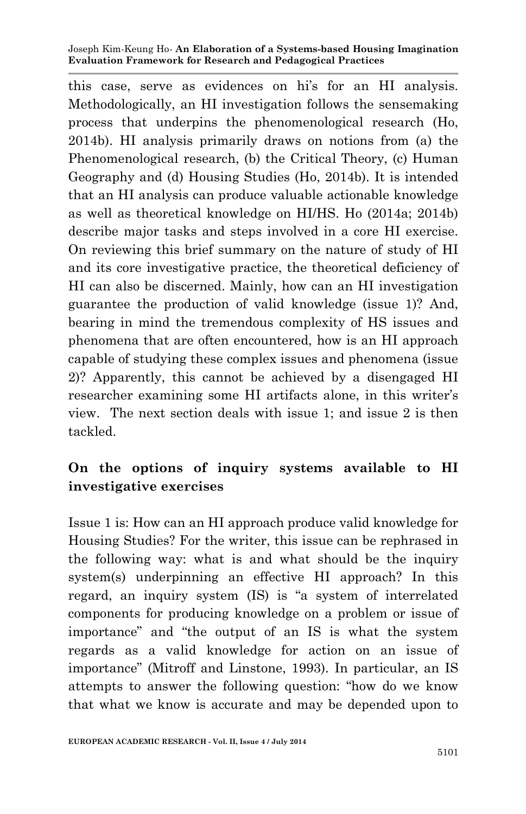this case, serve as evidences on hi's for an HI analysis. Methodologically, an HI investigation follows the sensemaking process that underpins the phenomenological research (Ho, 2014b). HI analysis primarily draws on notions from (a) the Phenomenological research, (b) the Critical Theory, (c) Human Geography and (d) Housing Studies (Ho, 2014b). It is intended that an HI analysis can produce valuable actionable knowledge as well as theoretical knowledge on HI/HS. Ho (2014a; 2014b) describe major tasks and steps involved in a core HI exercise. On reviewing this brief summary on the nature of study of HI and its core investigative practice, the theoretical deficiency of HI can also be discerned. Mainly, how can an HI investigation guarantee the production of valid knowledge (issue 1)? And, bearing in mind the tremendous complexity of HS issues and phenomena that are often encountered, how is an HI approach capable of studying these complex issues and phenomena (issue 2)? Apparently, this cannot be achieved by a disengaged HI researcher examining some HI artifacts alone, in this writer's view. The next section deals with issue 1; and issue 2 is then tackled.

## **On the options of inquiry systems available to HI investigative exercises**

Issue 1 is: How can an HI approach produce valid knowledge for Housing Studies? For the writer, this issue can be rephrased in the following way: what is and what should be the inquiry system(s) underpinning an effective HI approach? In this regard, an inquiry system (IS) is "a system of interrelated components for producing knowledge on a problem or issue of importance" and "the output of an IS is what the system regards as a valid knowledge for action on an issue of importance" (Mitroff and Linstone, 1993). In particular, an IS attempts to answer the following question: "how do we know that what we know is accurate and may be depended upon to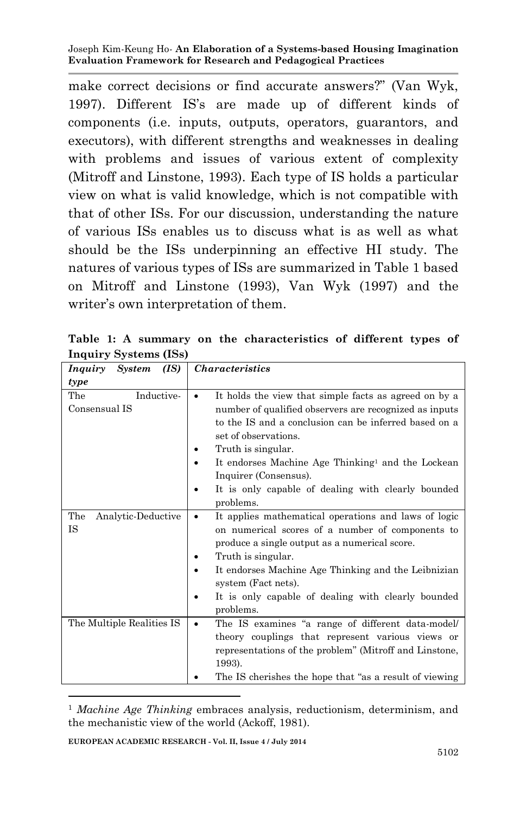make correct decisions or find accurate answers?" (Van Wyk, 1997). Different IS's are made up of different kinds of components (i.e. inputs, outputs, operators, guarantors, and executors), with different strengths and weaknesses in dealing with problems and issues of various extent of complexity (Mitroff and Linstone, 1993). Each type of IS holds a particular view on what is valid knowledge, which is not compatible with that of other ISs. For our discussion, understanding the nature of various ISs enables us to discuss what is as well as what should be the ISs underpinning an effective HI study. The natures of various types of ISs are summarized in Table 1 based on Mitroff and Linstone (1993), Van Wyk (1997) and the writer's own interpretation of them.

| (IS)<br>Inquiry<br><b>System</b>   | <i><b>Characteristics</b></i>                                                                                                                                                                                                                                                                                                                                          |
|------------------------------------|------------------------------------------------------------------------------------------------------------------------------------------------------------------------------------------------------------------------------------------------------------------------------------------------------------------------------------------------------------------------|
| type                               |                                                                                                                                                                                                                                                                                                                                                                        |
| The<br>Inductive-<br>Consensual IS | It holds the view that simple facts as agreed on by a<br>number of qualified observers are recognized as inputs<br>to the IS and a conclusion can be inferred based on a<br>set of observations.<br>Truth is singular.<br>It endorses Machine Age Thinking <sup>1</sup> and the Lockean<br>Inquirer (Consensus).<br>It is only capable of dealing with clearly bounded |
| The<br>Analytic-Deductive<br>IS    | problems.<br>It applies mathematical operations and laws of logic<br>٠<br>on numerical scores of a number of components to<br>produce a single output as a numerical score.<br>Truth is singular.<br>It endorses Machine Age Thinking and the Leibnizian<br>system (Fact nets).<br>It is only capable of dealing with clearly bounded<br>problems.                     |
| The Multiple Realities IS          | The IS examines "a range of different data-model/<br>theory couplings that represent various views or<br>representations of the problem" (Mitroff and Linstone,<br>1993).<br>The IS cherishes the hope that "as a result of viewing"                                                                                                                                   |

**Table 1: A summary on the characteristics of different types of Inquiry Systems (ISs)**

1

<sup>1</sup> *Machine Age Thinking* embraces analysis, reductionism, determinism, and the mechanistic view of the world (Ackoff, 1981).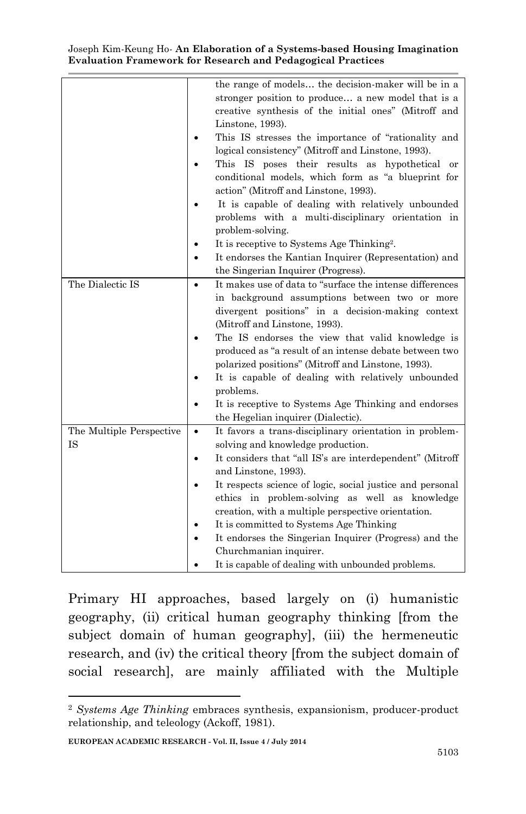|                                | the range of models the decision-maker will be in a<br>stronger position to produce a new model that is a<br>creative synthesis of the initial ones" (Mitroff and<br>Linstone, 1993).<br>This IS stresses the importance of "rationality and<br>logical consistency" (Mitroff and Linstone, 1993).<br>This IS poses their results as hypothetical<br>or<br>conditional models, which form as "a blueprint for<br>action" (Mitroff and Linstone, 1993).<br>It is capable of dealing with relatively unbounded<br>problems with a multi-disciplinary orientation in<br>problem-solving.<br>It is receptive to Systems Age Thinking <sup>2</sup> . |
|--------------------------------|-------------------------------------------------------------------------------------------------------------------------------------------------------------------------------------------------------------------------------------------------------------------------------------------------------------------------------------------------------------------------------------------------------------------------------------------------------------------------------------------------------------------------------------------------------------------------------------------------------------------------------------------------|
|                                | It endorses the Kantian Inquirer (Representation) and<br>the Singerian Inquirer (Progress).                                                                                                                                                                                                                                                                                                                                                                                                                                                                                                                                                     |
| The Dialectic IS               | It makes use of data to "surface the intense differences<br>$\bullet$<br>in background assumptions between two or more<br>divergent positions" in a decision-making context<br>(Mitroff and Linstone, 1993).<br>The IS endorses the view that valid knowledge is<br>produced as "a result of an intense debate between two<br>polarized positions" (Mitroff and Linstone, 1993).<br>It is capable of dealing with relatively unbounded<br>problems.<br>It is receptive to Systems Age Thinking and endorses<br>the Hegelian inquirer (Dialectic).                                                                                               |
| The Multiple Perspective<br>IS | It favors a trans-disciplinary orientation in problem-<br>$\bullet$<br>solving and knowledge production.<br>It considers that "all IS's are interdependent" (Mitroff<br>and Linstone, 1993).<br>It respects science of logic, social justice and personal<br>ethics in problem-solving as well as knowledge<br>creation, with a multiple perspective orientation.<br>It is committed to Systems Age Thinking<br>It endorses the Singerian Inquirer (Progress) and the<br>Churchmanian inquirer.<br>It is capable of dealing with unbounded problems.                                                                                            |

Primary HI approaches, based largely on (i) humanistic geography, (ii) critical human geography thinking [from the subject domain of human geography], (iii) the hermeneutic research, and (iv) the critical theory [from the subject domain of social research], are mainly affiliated with the Multiple

1

<sup>2</sup> *Systems Age Thinking* embraces synthesis, expansionism, producer-product relationship, and teleology (Ackoff, 1981).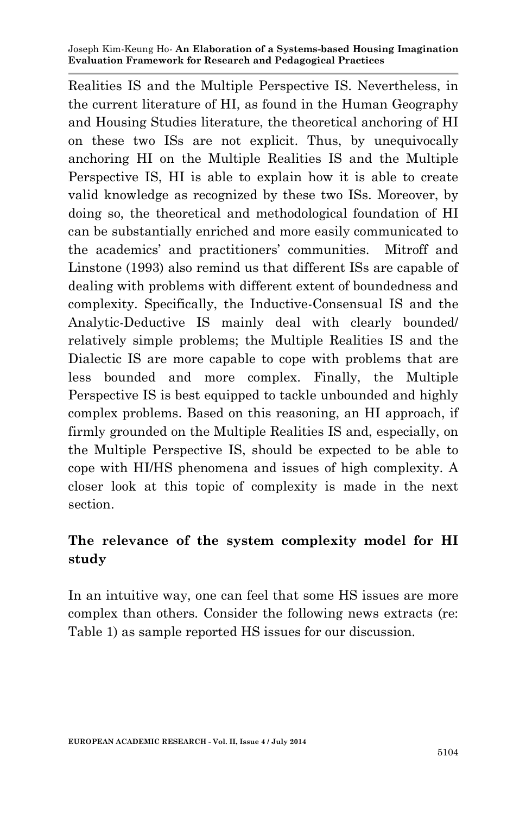Realities IS and the Multiple Perspective IS. Nevertheless, in the current literature of HI, as found in the Human Geography and Housing Studies literature, the theoretical anchoring of HI on these two ISs are not explicit. Thus, by unequivocally anchoring HI on the Multiple Realities IS and the Multiple Perspective IS, HI is able to explain how it is able to create valid knowledge as recognized by these two ISs. Moreover, by doing so, the theoretical and methodological foundation of HI can be substantially enriched and more easily communicated to the academics' and practitioners' communities. Mitroff and Linstone (1993) also remind us that different ISs are capable of dealing with problems with different extent of boundedness and complexity. Specifically, the Inductive-Consensual IS and the Analytic-Deductive IS mainly deal with clearly bounded/ relatively simple problems; the Multiple Realities IS and the Dialectic IS are more capable to cope with problems that are less bounded and more complex. Finally, the Multiple Perspective IS is best equipped to tackle unbounded and highly complex problems. Based on this reasoning, an HI approach, if firmly grounded on the Multiple Realities IS and, especially, on the Multiple Perspective IS, should be expected to be able to cope with HI/HS phenomena and issues of high complexity. A closer look at this topic of complexity is made in the next section.

## **The relevance of the system complexity model for HI study**

In an intuitive way, one can feel that some HS issues are more complex than others. Consider the following news extracts (re: Table 1) as sample reported HS issues for our discussion.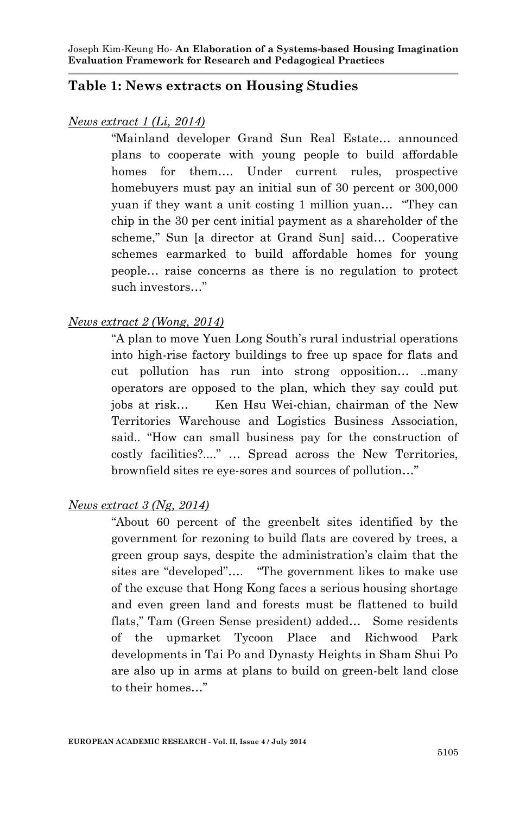### **Table 1: News extracts on Housing Studies**

#### *News extract 1 (Li, 2014)*

"Mainland developer Grand Sun Real Estate… announced plans to cooperate with young people to build affordable homes for them…. Under current rules, prospective homebuyers must pay an initial sun of 30 percent or 300,000 yuan if they want a unit costing 1 million yuan… "They can chip in the 30 per cent initial payment as a shareholder of the scheme," Sun la director at Grand Sunl said... Cooperative schemes earmarked to build affordable homes for young people… raise concerns as there is no regulation to protect such investors…"

#### *News extract 2 (Wong, 2014)*

"A plan to move Yuen Long South's rural industrial operations into high-rise factory buildings to free up space for flats and cut pollution has run into strong opposition… ..many operators are opposed to the plan, which they say could put jobs at risk… Ken Hsu Wei-chian, chairman of the New Territories Warehouse and Logistics Business Association, said.. "How can small business pay for the construction of costly facilities?...." … Spread across the New Territories, brownfield sites re eye-sores and sources of pollution…"

#### *News extract 3 (Ng, 2014)*

"About 60 percent of the greenbelt sites identified by the government for rezoning to build flats are covered by trees, a green group says, despite the administration's claim that the sites are "developed"…. "The government likes to make use of the excuse that Hong Kong faces a serious housing shortage and even green land and forests must be flattened to build flats," Tam (Green Sense president) added… Some residents of the upmarket Tycoon Place and Richwood Park developments in Tai Po and Dynasty Heights in Sham Shui Po are also up in arms at plans to build on green-belt land close to their homes…"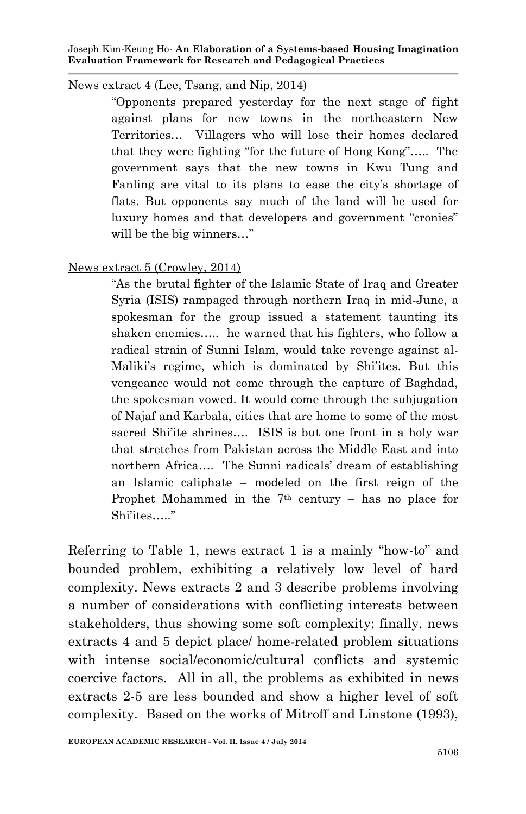### News extract 4 (Lee, Tsang, and Nip, 2014)

"Opponents prepared yesterday for the next stage of fight against plans for new towns in the northeastern New Territories… Villagers who will lose their homes declared that they were fighting "for the future of Hong Kong"….. The government says that the new towns in Kwu Tung and Fanling are vital to its plans to ease the city's shortage of flats. But opponents say much of the land will be used for luxury homes and that developers and government "cronies" will be the big winners…"

### News extract 5 (Crowley, 2014)

"As the brutal fighter of the Islamic State of Iraq and Greater Syria (ISIS) rampaged through northern Iraq in mid-June, a spokesman for the group issued a statement taunting its shaken enemies….. he warned that his fighters, who follow a radical strain of Sunni Islam, would take revenge against al-Maliki's regime, which is dominated by Shi'ites. But this vengeance would not come through the capture of Baghdad, the spokesman vowed. It would come through the subjugation of Najaf and Karbala, cities that are home to some of the most sacred Shi'ite shrines.... ISIS is but one front in a holy war that stretches from Pakistan across the Middle East and into northern Africa…. The Sunni radicals' dream of establishing an Islamic caliphate – modeled on the first reign of the Prophet Mohammed in the  $7<sup>th</sup>$  century – has no place for Shi'ites….."

Referring to Table 1, news extract 1 is a mainly "how-to" and bounded problem, exhibiting a relatively low level of hard complexity. News extracts 2 and 3 describe problems involving a number of considerations with conflicting interests between stakeholders, thus showing some soft complexity; finally, news extracts 4 and 5 depict place/ home-related problem situations with intense social/economic/cultural conflicts and systemic coercive factors. All in all, the problems as exhibited in news extracts 2-5 are less bounded and show a higher level of soft complexity. Based on the works of Mitroff and Linstone (1993),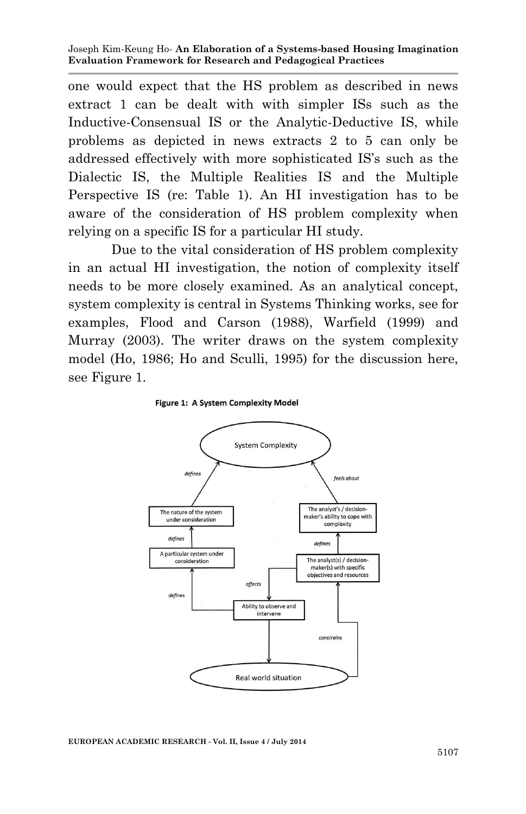one would expect that the HS problem as described in news extract 1 can be dealt with with simpler ISs such as the Inductive-Consensual IS or the Analytic-Deductive IS, while problems as depicted in news extracts 2 to 5 can only be addressed effectively with more sophisticated IS's such as the Dialectic IS, the Multiple Realities IS and the Multiple Perspective IS (re: Table 1). An HI investigation has to be aware of the consideration of HS problem complexity when relying on a specific IS for a particular HI study.

Due to the vital consideration of HS problem complexity in an actual HI investigation, the notion of complexity itself needs to be more closely examined. As an analytical concept, system complexity is central in Systems Thinking works, see for examples, Flood and Carson (1988), Warfield (1999) and Murray (2003). The writer draws on the system complexity model (Ho, 1986; Ho and Sculli, 1995) for the discussion here, see Figure 1.





**EUROPEAN ACADEMIC RESEARCH - Vol. II, Issue 4 / July 2014**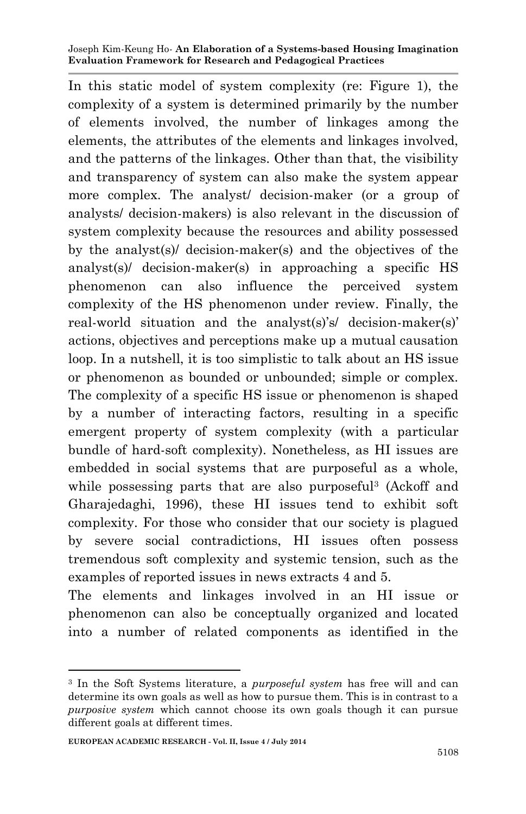In this static model of system complexity (re: Figure 1), the complexity of a system is determined primarily by the number of elements involved, the number of linkages among the elements, the attributes of the elements and linkages involved, and the patterns of the linkages. Other than that, the visibility and transparency of system can also make the system appear more complex. The analyst/ decision-maker (or a group of analysts/ decision-makers) is also relevant in the discussion of system complexity because the resources and ability possessed by the analyst(s)/ decision-maker(s) and the objectives of the analyst(s)/ decision-maker(s) in approaching a specific HS phenomenon can also influence the perceived system complexity of the HS phenomenon under review. Finally, the real-world situation and the analyst(s)'s/ decision-maker(s)' actions, objectives and perceptions make up a mutual causation loop. In a nutshell, it is too simplistic to talk about an HS issue or phenomenon as bounded or unbounded; simple or complex. The complexity of a specific HS issue or phenomenon is shaped by a number of interacting factors, resulting in a specific emergent property of system complexity (with a particular bundle of hard-soft complexity). Nonetheless, as HI issues are embedded in social systems that are purposeful as a whole, while possessing parts that are also purposeful<sup>3</sup> (Ackoff and Gharajedaghi, 1996), these HI issues tend to exhibit soft complexity. For those who consider that our society is plagued by severe social contradictions, HI issues often possess tremendous soft complexity and systemic tension, such as the examples of reported issues in news extracts 4 and 5.

The elements and linkages involved in an HI issue or phenomenon can also be conceptually organized and located into a number of related components as identified in the

**.** 

<sup>3</sup> In the Soft Systems literature, a *purposeful system* has free will and can determine its own goals as well as how to pursue them. This is in contrast to a *purposive system* which cannot choose its own goals though it can pursue different goals at different times.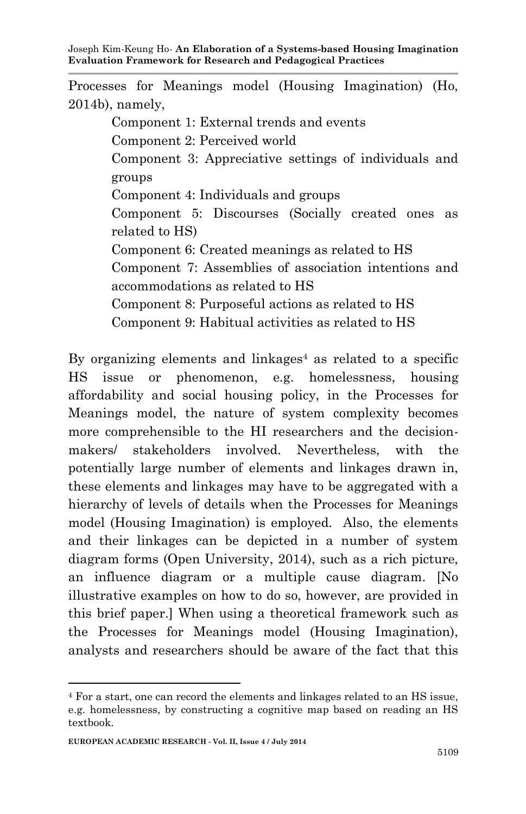Processes for Meanings model (Housing Imagination) (Ho, 2014b), namely,

> Component 1: External trends and events Component 2: Perceived world Component 3: Appreciative settings of individuals and groups Component 4: Individuals and groups Component 5: Discourses (Socially created ones as related to HS) Component 6: Created meanings as related to HS Component 7: Assemblies of association intentions and accommodations as related to HS Component 8: Purposeful actions as related to HS Component 9: Habitual activities as related to HS

By organizing elements and linkages<sup>4</sup> as related to a specific HS issue or phenomenon, e.g. homelessness, housing affordability and social housing policy, in the Processes for Meanings model, the nature of system complexity becomes more comprehensible to the HI researchers and the decisionmakers/ stakeholders involved. Nevertheless, with the potentially large number of elements and linkages drawn in, these elements and linkages may have to be aggregated with a hierarchy of levels of details when the Processes for Meanings model (Housing Imagination) is employed. Also, the elements and their linkages can be depicted in a number of system diagram forms (Open University, 2014), such as a rich picture, an influence diagram or a multiple cause diagram. [No illustrative examples on how to do so, however, are provided in this brief paper.] When using a theoretical framework such as the Processes for Meanings model (Housing Imagination), analysts and researchers should be aware of the fact that this

1

<sup>4</sup> For a start, one can record the elements and linkages related to an HS issue, e.g. homelessness, by constructing a cognitive map based on reading an HS textbook.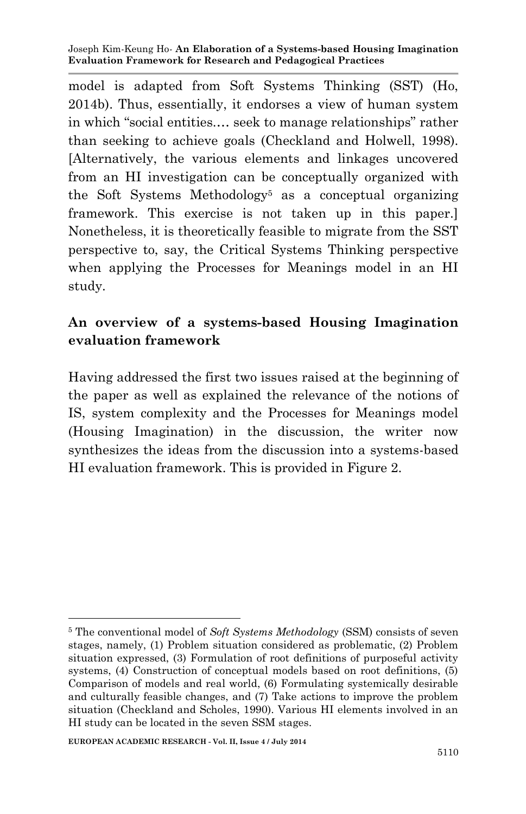model is adapted from Soft Systems Thinking (SST) (Ho, 2014b). Thus, essentially, it endorses a view of human system in which "social entities.… seek to manage relationships" rather than seeking to achieve goals (Checkland and Holwell, 1998). [Alternatively, the various elements and linkages uncovered from an HI investigation can be conceptually organized with the Soft Systems Methodology<sup>5</sup> as a conceptual organizing framework. This exercise is not taken up in this paper.] Nonetheless, it is theoretically feasible to migrate from the SST perspective to, say, the Critical Systems Thinking perspective when applying the Processes for Meanings model in an HI study.

## **An overview of a systems-based Housing Imagination evaluation framework**

Having addressed the first two issues raised at the beginning of the paper as well as explained the relevance of the notions of IS, system complexity and the Processes for Meanings model (Housing Imagination) in the discussion, the writer now synthesizes the ideas from the discussion into a systems-based HI evaluation framework. This is provided in Figure 2.

<sup>1</sup> <sup>5</sup> The conventional model of *Soft Systems Methodology* (SSM) consists of seven stages, namely, (1) Problem situation considered as problematic, (2) Problem situation expressed, (3) Formulation of root definitions of purposeful activity systems, (4) Construction of conceptual models based on root definitions, (5) Comparison of models and real world, (6) Formulating systemically desirable and culturally feasible changes, and (7) Take actions to improve the problem situation (Checkland and Scholes, 1990). Various HI elements involved in an HI study can be located in the seven SSM stages.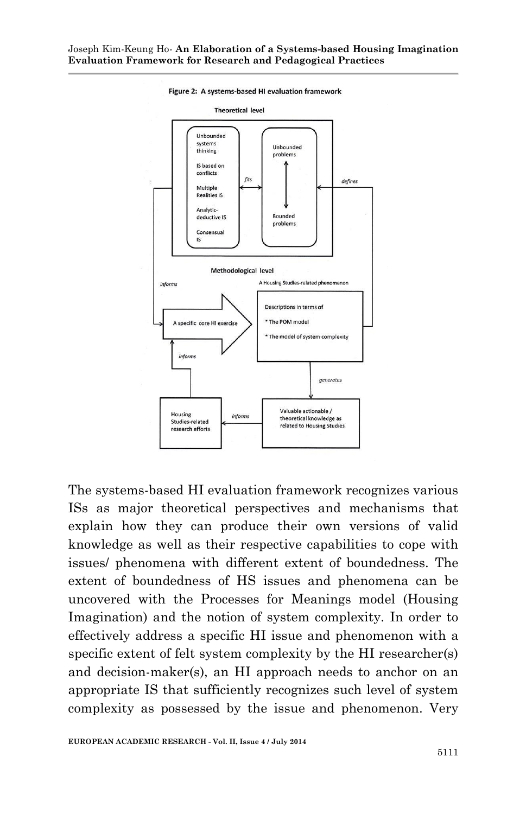

Figure 2: A systems-based HI evaluation framework

The systems-based HI evaluation framework recognizes various ISs as major theoretical perspectives and mechanisms that explain how they can produce their own versions of valid knowledge as well as their respective capabilities to cope with issues/ phenomena with different extent of boundedness. The extent of boundedness of HS issues and phenomena can be uncovered with the Processes for Meanings model (Housing Imagination) and the notion of system complexity. In order to effectively address a specific HI issue and phenomenon with a specific extent of felt system complexity by the HI researcher(s) and decision-maker(s), an HI approach needs to anchor on an appropriate IS that sufficiently recognizes such level of system complexity as possessed by the issue and phenomenon. Very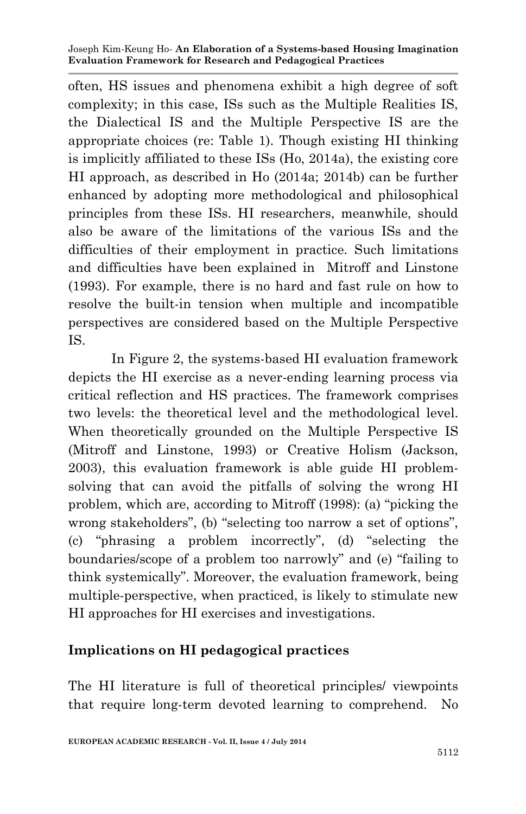often, HS issues and phenomena exhibit a high degree of soft complexity; in this case, ISs such as the Multiple Realities IS, the Dialectical IS and the Multiple Perspective IS are the appropriate choices (re: Table 1). Though existing HI thinking is implicitly affiliated to these ISs (Ho, 2014a), the existing core HI approach, as described in Ho (2014a; 2014b) can be further enhanced by adopting more methodological and philosophical principles from these ISs. HI researchers, meanwhile, should also be aware of the limitations of the various ISs and the difficulties of their employment in practice. Such limitations and difficulties have been explained in Mitroff and Linstone (1993). For example, there is no hard and fast rule on how to resolve the built-in tension when multiple and incompatible perspectives are considered based on the Multiple Perspective IS.

In Figure 2, the systems-based HI evaluation framework depicts the HI exercise as a never-ending learning process via critical reflection and HS practices. The framework comprises two levels: the theoretical level and the methodological level. When theoretically grounded on the Multiple Perspective IS (Mitroff and Linstone, 1993) or Creative Holism (Jackson, 2003), this evaluation framework is able guide HI problemsolving that can avoid the pitfalls of solving the wrong HI problem, which are, according to Mitroff (1998): (a) "picking the wrong stakeholders", (b) "selecting too narrow a set of options", (c) "phrasing a problem incorrectly", (d) "selecting the boundaries/scope of a problem too narrowly" and (e) "failing to think systemically". Moreover, the evaluation framework, being multiple-perspective, when practiced, is likely to stimulate new HI approaches for HI exercises and investigations.

### **Implications on HI pedagogical practices**

The HI literature is full of theoretical principles/ viewpoints that require long-term devoted learning to comprehend. No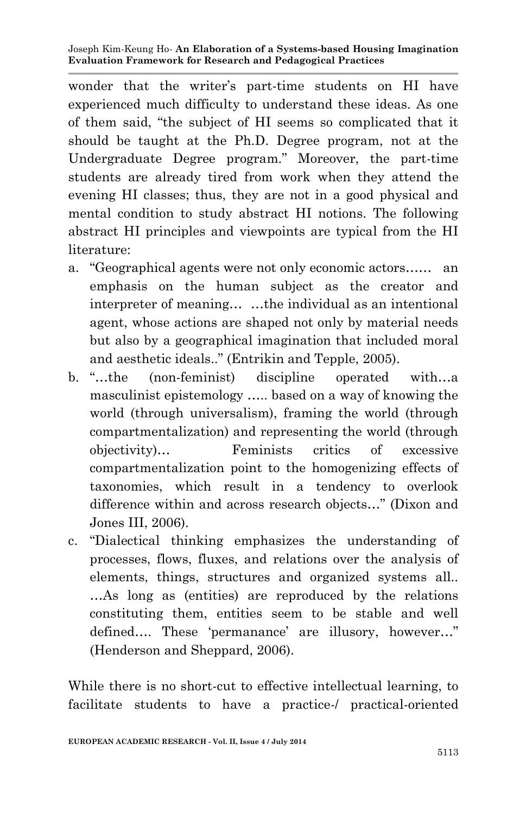wonder that the writer's part-time students on HI have experienced much difficulty to understand these ideas. As one of them said, "the subject of HI seems so complicated that it should be taught at the Ph.D. Degree program, not at the Undergraduate Degree program." Moreover, the part-time students are already tired from work when they attend the evening HI classes; thus, they are not in a good physical and mental condition to study abstract HI notions. The following abstract HI principles and viewpoints are typical from the HI literature:

- a. "Geographical agents were not only economic actors…… an emphasis on the human subject as the creator and interpreter of meaning… …the individual as an intentional agent, whose actions are shaped not only by material needs but also by a geographical imagination that included moral and aesthetic ideals.." (Entrikin and Tepple, 2005).
- b. "…the (non-feminist) discipline operated with…a masculinist epistemology ….. based on a way of knowing the world (through universalism), framing the world (through compartmentalization) and representing the world (through objectivity)… Feminists critics of excessive compartmentalization point to the homogenizing effects of taxonomies, which result in a tendency to overlook difference within and across research objects…" (Dixon and Jones III, 2006).
- c. "Dialectical thinking emphasizes the understanding of processes, flows, fluxes, and relations over the analysis of elements, things, structures and organized systems all.. …As long as (entities) are reproduced by the relations constituting them, entities seem to be stable and well defined…. These 'permanance' are illusory, however…" (Henderson and Sheppard, 2006).

While there is no short-cut to effective intellectual learning, to facilitate students to have a practice-/ practical-oriented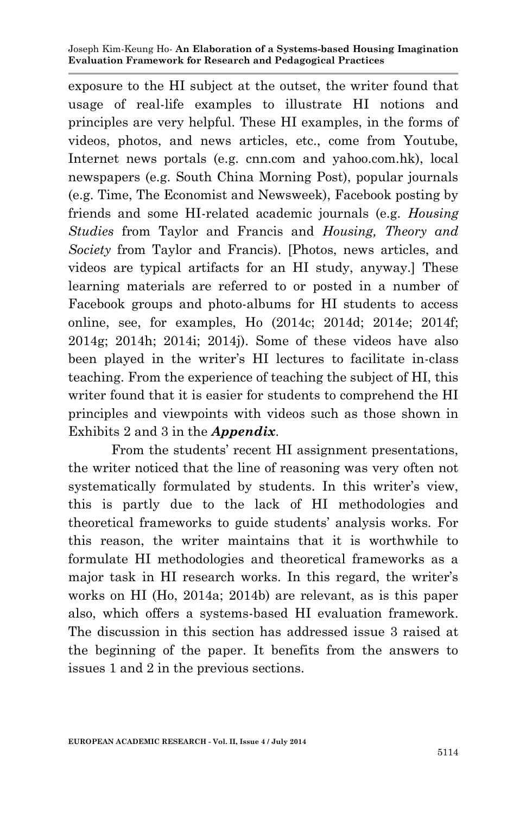exposure to the HI subject at the outset, the writer found that usage of real-life examples to illustrate HI notions and principles are very helpful. These HI examples, in the forms of videos, photos, and news articles, etc., come from Youtube, Internet news portals (e.g. cnn.com and yahoo.com.hk), local newspapers (e.g. South China Morning Post), popular journals (e.g. Time, The Economist and Newsweek), Facebook posting by friends and some HI-related academic journals (e.g. *Housing Studies* from Taylor and Francis and *Housing, Theory and Society* from Taylor and Francis). [Photos, news articles, and videos are typical artifacts for an HI study, anyway.] These learning materials are referred to or posted in a number of Facebook groups and photo-albums for HI students to access online, see, for examples, Ho (2014c; 2014d; 2014e; 2014f; 2014g; 2014h; 2014i; 2014j). Some of these videos have also been played in the writer's HI lectures to facilitate in-class teaching. From the experience of teaching the subject of HI, this writer found that it is easier for students to comprehend the HI principles and viewpoints with videos such as those shown in Exhibits 2 and 3 in the *Appendix*.

From the students' recent HI assignment presentations, the writer noticed that the line of reasoning was very often not systematically formulated by students. In this writer's view, this is partly due to the lack of HI methodologies and theoretical frameworks to guide students' analysis works. For this reason, the writer maintains that it is worthwhile to formulate HI methodologies and theoretical frameworks as a major task in HI research works. In this regard, the writer's works on HI (Ho, 2014a; 2014b) are relevant, as is this paper also, which offers a systems-based HI evaluation framework. The discussion in this section has addressed issue 3 raised at the beginning of the paper. It benefits from the answers to issues 1 and 2 in the previous sections.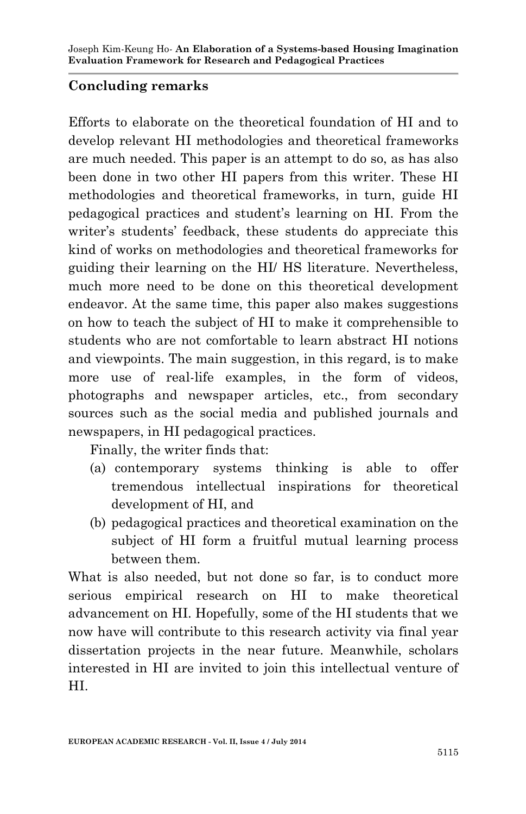## **Concluding remarks**

Efforts to elaborate on the theoretical foundation of HI and to develop relevant HI methodologies and theoretical frameworks are much needed. This paper is an attempt to do so, as has also been done in two other HI papers from this writer. These HI methodologies and theoretical frameworks, in turn, guide HI pedagogical practices and student's learning on HI. From the writer's students' feedback, these students do appreciate this kind of works on methodologies and theoretical frameworks for guiding their learning on the HI/ HS literature. Nevertheless, much more need to be done on this theoretical development endeavor. At the same time, this paper also makes suggestions on how to teach the subject of HI to make it comprehensible to students who are not comfortable to learn abstract HI notions and viewpoints. The main suggestion, in this regard, is to make more use of real-life examples, in the form of videos, photographs and newspaper articles, etc., from secondary sources such as the social media and published journals and newspapers, in HI pedagogical practices.

Finally, the writer finds that:

- (a) contemporary systems thinking is able to offer tremendous intellectual inspirations for theoretical development of HI, and
- (b) pedagogical practices and theoretical examination on the subject of HI form a fruitful mutual learning process between them.

What is also needed, but not done so far, is to conduct more serious empirical research on HI to make theoretical advancement on HI. Hopefully, some of the HI students that we now have will contribute to this research activity via final year dissertation projects in the near future. Meanwhile, scholars interested in HI are invited to join this intellectual venture of HI.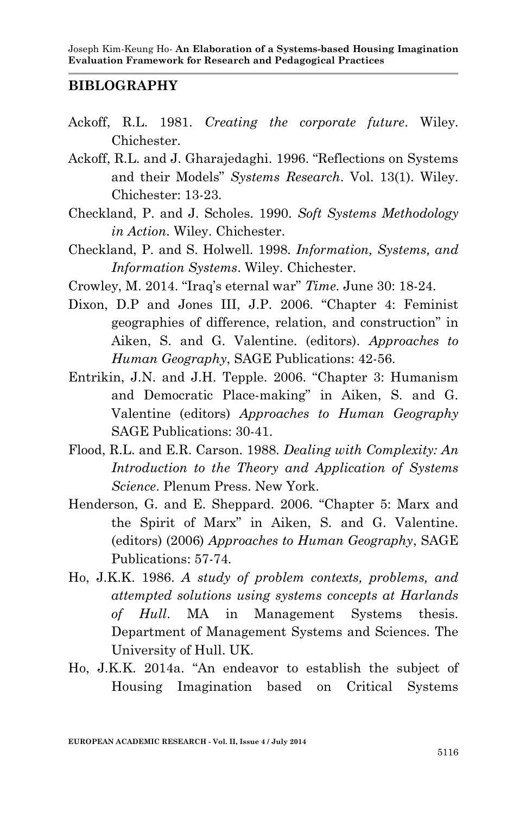### **BIBLOGRAPHY**

- Ackoff, R.L. 1981. *Creating the corporate future*. Wiley. Chichester.
- Ackoff, R.L. and J. Gharajedaghi. 1996. "Reflections on Systems and their Models" *Systems Research*. Vol. 13(1). Wiley. Chichester: 13-23.
- Checkland, P. and J. Scholes. 1990. *Soft Systems Methodology in Action*. Wiley. Chichester.
- Checkland, P. and S. Holwell. 1998. *Information, Systems, and Information Systems*. Wiley. Chichester.
- Crowley, M. 2014. "Iraq's eternal war" *Time*. June 30: 18-24.
- Dixon, D.P and Jones III, J.P. 2006. "Chapter 4: Feminist geographies of difference, relation, and construction" in Aiken, S. and G. Valentine. (editors). *Approaches to Human Geography*, SAGE Publications: 42-56.
- Entrikin, J.N. and J.H. Tepple. 2006. "Chapter 3: Humanism and Democratic Place-making" in Aiken, S. and G. Valentine (editors) *Approaches to Human Geography* SAGE Publications: 30-41.
- Flood, R.L. and E.R. Carson. 1988. *Dealing with Complexity: An Introduction to the Theory and Application of Systems Science*. Plenum Press. New York.
- Henderson, G. and E. Sheppard. 2006. "Chapter 5: Marx and the Spirit of Marx" in Aiken, S. and G. Valentine. (editors) (2006) *Approaches to Human Geography*, SAGE Publications: 57-74.
- Ho, J.K.K. 1986. *A study of problem contexts, problems, and attempted solutions using systems concepts at Harlands of Hull*. MA in Management Systems thesis. Department of Management Systems and Sciences. The University of Hull. UK.
- Ho, J.K.K. 2014a. "An endeavor to establish the subject of Housing Imagination based on Critical Systems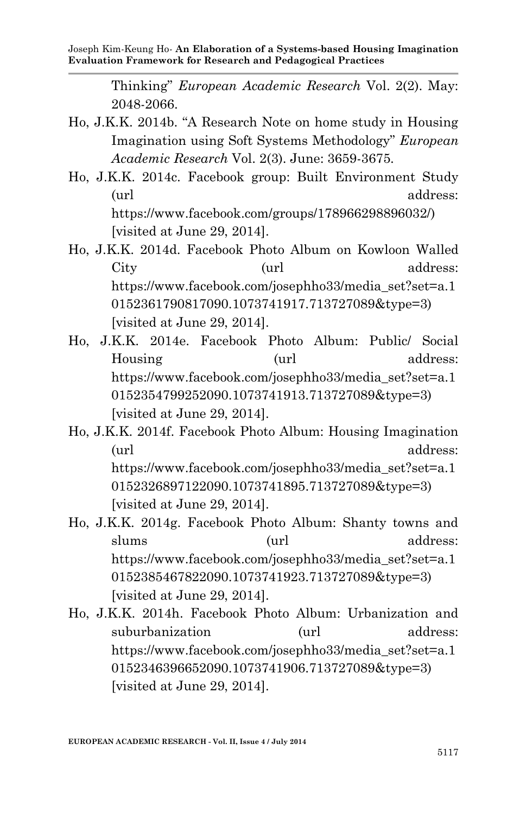Thinking" *European Academic Research* Vol. 2(2). May: 2048-2066.

- Ho, J.K.K. 2014b. "A Research Note on home study in Housing Imagination using Soft Systems Methodology" *European Academic Research* Vol. 2(3). June: 3659-3675.
- Ho, J.K.K. 2014c. Facebook group: Built Environment Study (url address: https://www.facebook.com/groups/178966298896032/) [visited at June 29, 2014].
- Ho, J.K.K. 2014d. Facebook Photo Album on Kowloon Walled City (url address: https://www.facebook.com/josephho33/media\_set?set=a.1 0152361790817090.1073741917.713727089&type=3) [visited at June 29, 2014].
- Ho, J.K.K. 2014e. Facebook Photo Album: Public/ Social Housing (url address: https://www.facebook.com/josephho33/media\_set?set=a.1 0152354799252090.1073741913.713727089&type=3) [visited at June 29, 2014].
- Ho, J.K.K. 2014f. Facebook Photo Album: Housing Imagination (url address: https://www.facebook.com/josephho33/media\_set?set=a.1 0152326897122090.1073741895.713727089&type=3) [visited at June 29, 2014].
- Ho, J.K.K. 2014g. Facebook Photo Album: Shanty towns and slums (url address: https://www.facebook.com/josephho33/media\_set?set=a.1 0152385467822090.1073741923.713727089&type=3) [visited at June 29, 2014].
- Ho, J.K.K. 2014h. Facebook Photo Album: Urbanization and suburbanization (url address: https://www.facebook.com/josephho33/media\_set?set=a.1 0152346396652090.1073741906.713727089&type=3) [visited at June 29, 2014].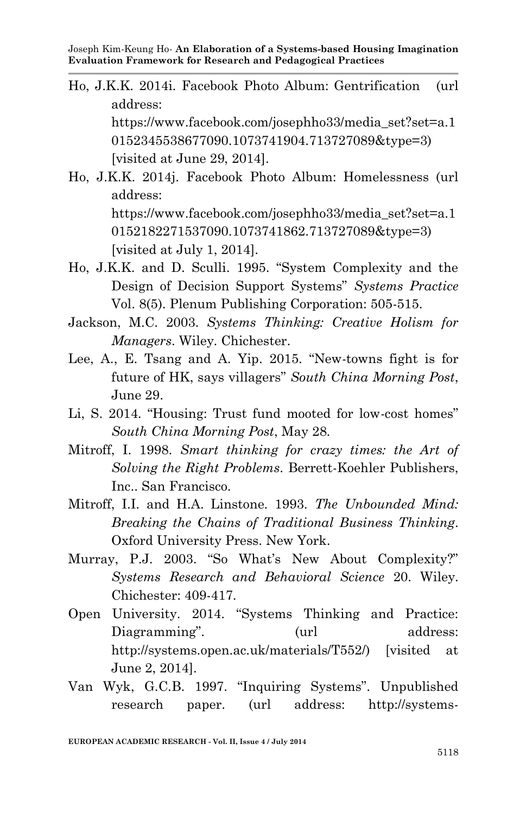- Ho, J.K.K. 2014i. Facebook Photo Album: Gentrification (url address: https://www.facebook.com/josephho33/media\_set?set=a.1 0152345538677090.1073741904.713727089&type=3) [visited at June 29, 2014].
- Ho, J.K.K. 2014j. Facebook Photo Album: Homelessness (url address: https://www.facebook.com/josephho33/media\_set?set=a.1 0152182271537090.1073741862.713727089&type=3) [visited at July 1, 2014].
- Ho, J.K.K. and D. Sculli. 1995. "System Complexity and the Design of Decision Support Systems" *Systems Practice* Vol. 8(5). Plenum Publishing Corporation: 505-515.
- Jackson, M.C. 2003. *Systems Thinking: Creative Holism for Managers*. Wiley. Chichester.
- Lee, A., E. Tsang and A. Yip. 2015. "New-towns fight is for future of HK, says villagers" *South China Morning Post*, June 29.
- Li, S. 2014. "Housing: Trust fund mooted for low-cost homes" *South China Morning Post*, May 28.
- Mitroff, I. 1998. *Smart thinking for crazy times: the Art of Solving the Right Problems*. Berrett-Koehler Publishers, Inc.. San Francisco.
- Mitroff, I.I. and H.A. Linstone. 1993. *The Unbounded Mind: Breaking the Chains of Traditional Business Thinking*. Oxford University Press. New York.
- Murray, P.J. 2003. "So What's New About Complexity?" *Systems Research and Behavioral Science* 20. Wiley. Chichester: 409-417.
- Open University. 2014. "Systems Thinking and Practice: Diagramming". (url address: http://systems.open.ac.uk/materials/T552/) [visited at June 2, 2014].
- Van Wyk, G.C.B. 1997. "Inquiring Systems". Unpublished research paper. (url address: http://systems-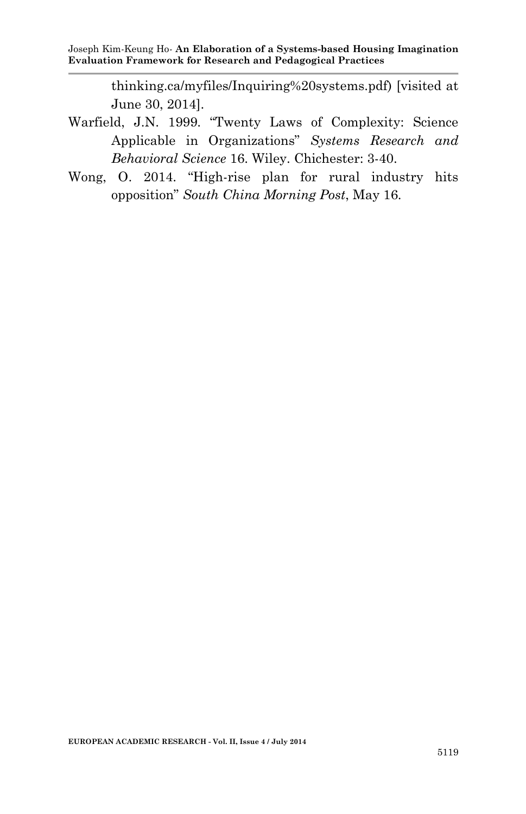thinking.ca/myfiles/Inquiring%20systems.pdf) [visited at June 30, 2014].

- Warfield, J.N. 1999. "Twenty Laws of Complexity: Science Applicable in Organizations" *Systems Research and Behavioral Science* 16. Wiley. Chichester: 3-40.
- Wong, O. 2014. "High-rise plan for rural industry hits opposition" *South China Morning Post*, May 16.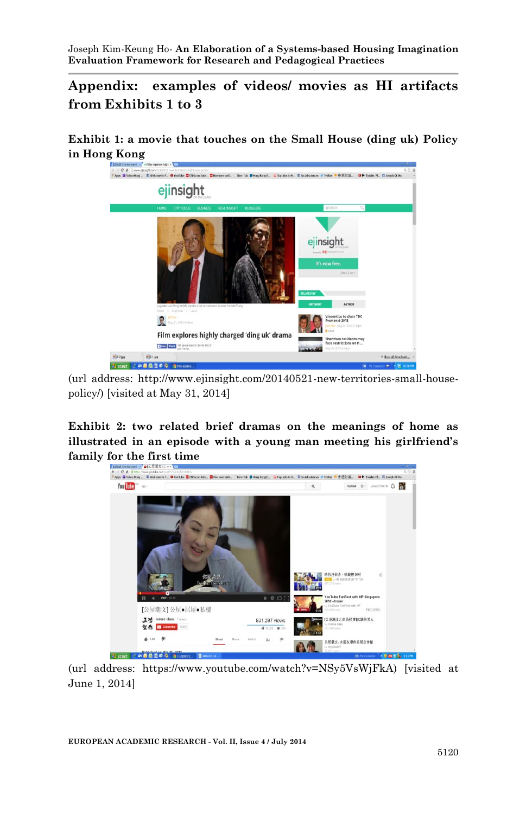**Appendix: examples of videos/ movies as HI artifacts from Exhibits 1 to 3**

**Exhibit 1: a movie that touches on the Small House (ding uk) Policy in Hong Kong**



(url address: http://www.ejinsight.com/20140521-new-territories-small-housepolicy/) [visited at May 31, 2014]

**Exhibit 2: two related brief dramas on the meanings of home as illustrated in an episode with a young man meeting his girlfriend's** 



(url address: https://www.youtube.com/watch?v=NSy5VsWjFkA) [visited at June 1, 2014]